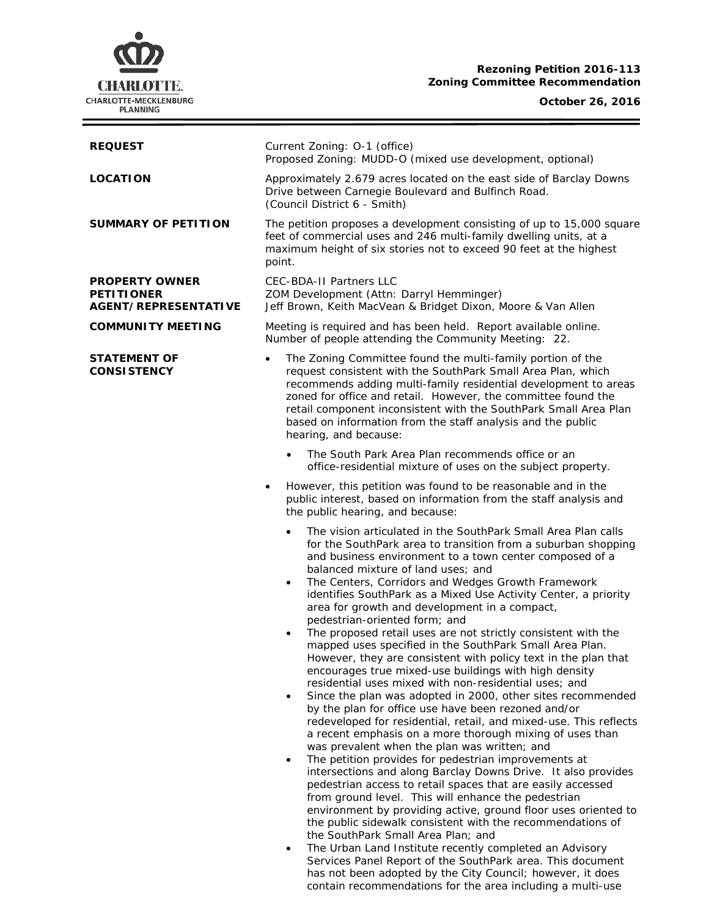## **Rezoning Petition 2016-113 Zoning Committee Recommendation**

# **October 26, 2016**



| <b>REQUEST</b>                                                     | Current Zoning: O-1 (office)<br>Proposed Zoning: MUDD-O (mixed use development, optional)                                                                                                                                                                                                                                                                                                                                                                                                                                                                                                                                                                                                                                                                                                                                                                                                                                                                                                                                                                |
|--------------------------------------------------------------------|----------------------------------------------------------------------------------------------------------------------------------------------------------------------------------------------------------------------------------------------------------------------------------------------------------------------------------------------------------------------------------------------------------------------------------------------------------------------------------------------------------------------------------------------------------------------------------------------------------------------------------------------------------------------------------------------------------------------------------------------------------------------------------------------------------------------------------------------------------------------------------------------------------------------------------------------------------------------------------------------------------------------------------------------------------|
| <b>LOCATION</b>                                                    | Approximately 2.679 acres located on the east side of Barclay Downs<br>Drive between Carnegie Boulevard and Bulfinch Road.<br>(Council District 6 - Smith)                                                                                                                                                                                                                                                                                                                                                                                                                                                                                                                                                                                                                                                                                                                                                                                                                                                                                               |
| <b>SUMMARY OF PETITION</b>                                         | The petition proposes a development consisting of up to 15,000 square<br>feet of commercial uses and 246 multi-family dwelling units, at a<br>maximum height of six stories not to exceed 90 feet at the highest<br>point.                                                                                                                                                                                                                                                                                                                                                                                                                                                                                                                                                                                                                                                                                                                                                                                                                               |
| <b>PROPERTY OWNER</b><br><b>PETITIONER</b><br>AGENT/REPRESENTATIVE | <b>CEC-BDA-II Partners LLC</b><br>ZOM Development (Attn: Darryl Hemminger)<br>Jeff Brown, Keith MacVean & Bridget Dixon, Moore & Van Allen                                                                                                                                                                                                                                                                                                                                                                                                                                                                                                                                                                                                                                                                                                                                                                                                                                                                                                               |
| <b>COMMUNITY MEETING</b>                                           | Meeting is required and has been held. Report available online.<br>Number of people attending the Community Meeting: 22.                                                                                                                                                                                                                                                                                                                                                                                                                                                                                                                                                                                                                                                                                                                                                                                                                                                                                                                                 |
| <b>STATEMENT OF</b><br><b>CONSISTENCY</b>                          | The Zoning Committee found the multi-family portion of the<br>$\bullet$<br>request consistent with the SouthPark Small Area Plan, which<br>recommends adding multi-family residential development to areas<br>zoned for office and retail. However, the committee found the<br>retail component inconsistent with the SouthPark Small Area Plan<br>based on information from the staff analysis and the public<br>hearing, and because:                                                                                                                                                                                                                                                                                                                                                                                                                                                                                                                                                                                                                  |
|                                                                    | The South Park Area Plan recommends office or an<br>office-residential mixture of uses on the subject property.                                                                                                                                                                                                                                                                                                                                                                                                                                                                                                                                                                                                                                                                                                                                                                                                                                                                                                                                          |
|                                                                    | However, this petition was found to be reasonable and in the<br>$\bullet$<br>public interest, based on information from the staff analysis and<br>the public hearing, and because:                                                                                                                                                                                                                                                                                                                                                                                                                                                                                                                                                                                                                                                                                                                                                                                                                                                                       |
|                                                                    | The vision articulated in the SouthPark Small Area Plan calls<br>for the SouthPark area to transition from a suburban shopping<br>and business environment to a town center composed of a<br>balanced mixture of land uses; and<br>The Centers, Corridors and Wedges Growth Framework<br>$\bullet$<br>identifies SouthPark as a Mixed Use Activity Center, a priority<br>area for growth and development in a compact,<br>pedestrian-oriented form; and<br>The proposed retail uses are not strictly consistent with the<br>$\bullet$<br>mapped uses specified in the SouthPark Small Area Plan.<br>However, they are consistent with policy text in the plan that<br>encourages true mixed-use buildings with high density<br>residential uses mixed with non-residential uses; and<br>Since the plan was adopted in 2000, other sites recommended<br>$\bullet$<br>by the plan for office use have been rezoned and/or<br>redeveloped for residential, retail, and mixed-use. This reflects<br>a recent emphasis on a more thorough mixing of uses than |
|                                                                    | was prevalent when the plan was written; and<br>The petition provides for pedestrian improvements at<br>$\bullet$<br>intersections and along Barclay Downs Drive. It also provides<br>pedestrian access to retail spaces that are easily accessed<br>from ground level. This will enhance the pedestrian<br>environment by providing active, ground floor uses oriented to<br>the public sidewalk consistent with the recommendations of<br>the SouthPark Small Area Plan; and<br>The Urban Land Institute recently completed an Advisory<br>$\bullet$<br>Services Panel Report of the SouthPark area. This document                                                                                                                                                                                                                                                                                                                                                                                                                                     |

has not been adopted by the City Council; however, it does contain recommendations for the area including a multi-use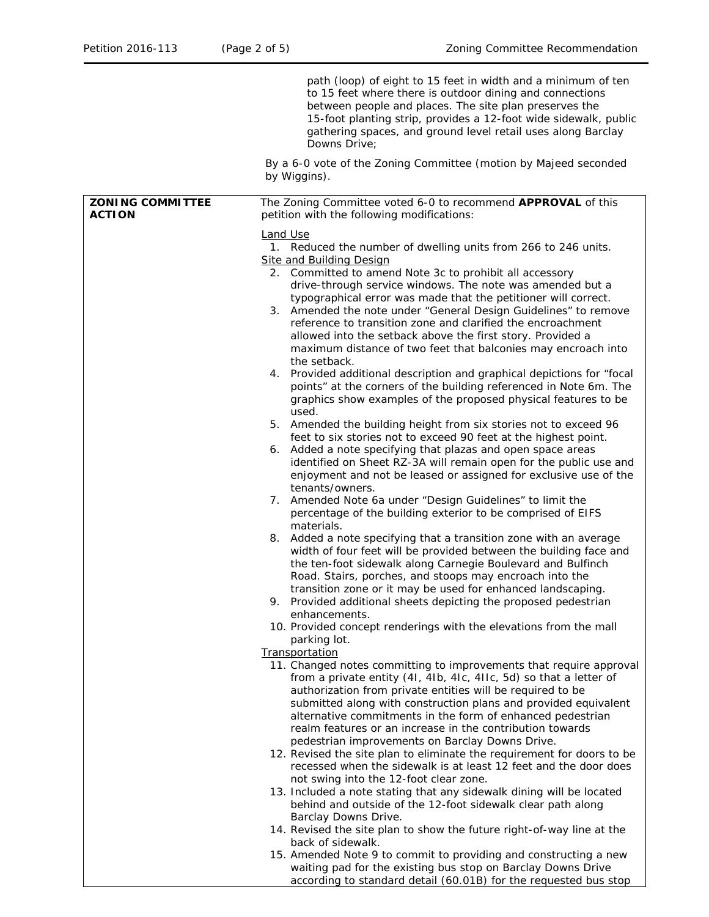|                                          | path (loop) of eight to 15 feet in width and a minimum of ten<br>to 15 feet where there is outdoor dining and connections<br>between people and places. The site plan preserves the<br>15-foot planting strip, provides a 12-foot wide sidewalk, public<br>gathering spaces, and ground level retail uses along Barclay<br>Downs Drive:                                                                                                                                                                                                                                                                                                                                                                                                                                                                                                                                                                                                                                                                                                                                                                                                                                                                                                                                                                                                                                                                                                                                                                                                                                                                                                                                                                                                                                                                                    |
|------------------------------------------|----------------------------------------------------------------------------------------------------------------------------------------------------------------------------------------------------------------------------------------------------------------------------------------------------------------------------------------------------------------------------------------------------------------------------------------------------------------------------------------------------------------------------------------------------------------------------------------------------------------------------------------------------------------------------------------------------------------------------------------------------------------------------------------------------------------------------------------------------------------------------------------------------------------------------------------------------------------------------------------------------------------------------------------------------------------------------------------------------------------------------------------------------------------------------------------------------------------------------------------------------------------------------------------------------------------------------------------------------------------------------------------------------------------------------------------------------------------------------------------------------------------------------------------------------------------------------------------------------------------------------------------------------------------------------------------------------------------------------------------------------------------------------------------------------------------------------|
|                                          | By a 6-0 vote of the Zoning Committee (motion by Majeed seconded<br>by Wiggins).                                                                                                                                                                                                                                                                                                                                                                                                                                                                                                                                                                                                                                                                                                                                                                                                                                                                                                                                                                                                                                                                                                                                                                                                                                                                                                                                                                                                                                                                                                                                                                                                                                                                                                                                           |
| <b>ZONING COMMITTEE</b><br><b>ACTION</b> | The Zoning Committee voted 6-0 to recommend APPROVAL of this<br>petition with the following modifications:                                                                                                                                                                                                                                                                                                                                                                                                                                                                                                                                                                                                                                                                                                                                                                                                                                                                                                                                                                                                                                                                                                                                                                                                                                                                                                                                                                                                                                                                                                                                                                                                                                                                                                                 |
|                                          | Land Use<br>1. Reduced the number of dwelling units from 266 to 246 units.<br><b>Site and Building Design</b><br>2. Committed to amend Note 3c to prohibit all accessory<br>drive-through service windows. The note was amended but a<br>typographical error was made that the petitioner will correct.<br>3. Amended the note under "General Design Guidelines" to remove<br>reference to transition zone and clarified the encroachment<br>allowed into the setback above the first story. Provided a<br>maximum distance of two feet that balconies may encroach into<br>the setback.<br>4. Provided additional description and graphical depictions for "focal<br>points" at the corners of the building referenced in Note 6m. The<br>graphics show examples of the proposed physical features to be<br>used.<br>5. Amended the building height from six stories not to exceed 96<br>feet to six stories not to exceed 90 feet at the highest point.<br>6. Added a note specifying that plazas and open space areas<br>identified on Sheet RZ-3A will remain open for the public use and<br>enjoyment and not be leased or assigned for exclusive use of the<br>tenants/owners.<br>7. Amended Note 6a under "Design Guidelines" to limit the<br>percentage of the building exterior to be comprised of EIFS<br>materials.<br>8. Added a note specifying that a transition zone with an average<br>width of four feet will be provided between the building face and<br>the ten-foot sidewalk along Carnegie Boulevard and Bulfinch<br>Road. Stairs, porches, and stoops may encroach into the<br>transition zone or it may be used for enhanced landscaping.<br>9. Provided additional sheets depicting the proposed pedestrian<br>enhancements.<br>10. Provided concept renderings with the elevations from the mall |
|                                          | parking lot.<br>Transportation                                                                                                                                                                                                                                                                                                                                                                                                                                                                                                                                                                                                                                                                                                                                                                                                                                                                                                                                                                                                                                                                                                                                                                                                                                                                                                                                                                                                                                                                                                                                                                                                                                                                                                                                                                                             |
|                                          | 11. Changed notes committing to improvements that require approval<br>from a private entity (41, 4lb, 4lc, 4llc, 5d) so that a letter of<br>authorization from private entities will be required to be<br>submitted along with construction plans and provided equivalent<br>alternative commitments in the form of enhanced pedestrian<br>realm features or an increase in the contribution towards<br>pedestrian improvements on Barclay Downs Drive.<br>12. Revised the site plan to eliminate the requirement for doors to be                                                                                                                                                                                                                                                                                                                                                                                                                                                                                                                                                                                                                                                                                                                                                                                                                                                                                                                                                                                                                                                                                                                                                                                                                                                                                          |
|                                          | recessed when the sidewalk is at least 12 feet and the door does<br>not swing into the 12-foot clear zone.<br>13. Included a note stating that any sidewalk dining will be located<br>behind and outside of the 12-foot sidewalk clear path along<br>Barclay Downs Drive.<br>14. Revised the site plan to show the future right-of-way line at the                                                                                                                                                                                                                                                                                                                                                                                                                                                                                                                                                                                                                                                                                                                                                                                                                                                                                                                                                                                                                                                                                                                                                                                                                                                                                                                                                                                                                                                                         |
|                                          | back of sidewalk.<br>15. Amended Note 9 to commit to providing and constructing a new<br>waiting pad for the existing bus stop on Barclay Downs Drive<br>according to standard detail (60.01B) for the requested bus stop                                                                                                                                                                                                                                                                                                                                                                                                                                                                                                                                                                                                                                                                                                                                                                                                                                                                                                                                                                                                                                                                                                                                                                                                                                                                                                                                                                                                                                                                                                                                                                                                  |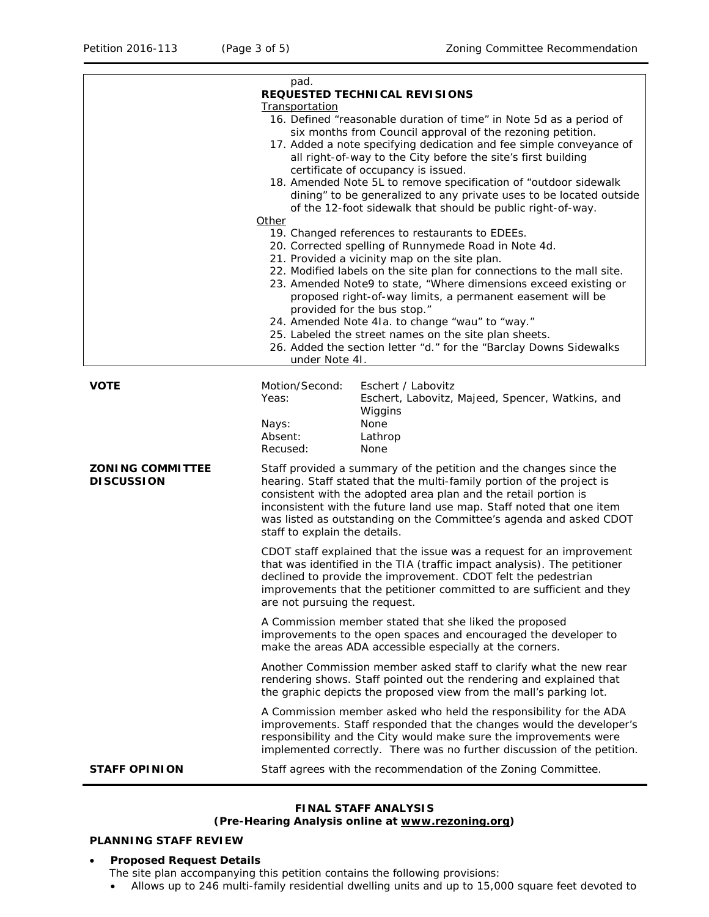|                                              | pad.<br><b>REQUESTED TECHNICAL REVISIONS</b>                                                                                                                                                                                                                                                                                                                                                                                                                                                                                                                                                            |
|----------------------------------------------|---------------------------------------------------------------------------------------------------------------------------------------------------------------------------------------------------------------------------------------------------------------------------------------------------------------------------------------------------------------------------------------------------------------------------------------------------------------------------------------------------------------------------------------------------------------------------------------------------------|
|                                              | Transportation<br>16. Defined "reasonable duration of time" in Note 5d as a period of<br>six months from Council approval of the rezoning petition.<br>17. Added a note specifying dedication and fee simple conveyance of<br>all right-of-way to the City before the site's first building<br>certificate of occupancy is issued.<br>18. Amended Note 5L to remove specification of "outdoor sidewalk<br>dining" to be generalized to any private uses to be located outside<br>of the 12-foot sidewalk that should be public right-of-way.<br>Other                                                   |
|                                              | 19. Changed references to restaurants to EDEEs.<br>20. Corrected spelling of Runnymede Road in Note 4d.<br>21. Provided a vicinity map on the site plan.<br>22. Modified labels on the site plan for connections to the mall site.<br>23. Amended Note9 to state, "Where dimensions exceed existing or<br>proposed right-of-way limits, a permanent easement will be<br>provided for the bus stop."<br>24. Amended Note 41a. to change "wau" to "way."<br>25. Labeled the street names on the site plan sheets.<br>26. Added the section letter "d." for the "Barclay Downs Sidewalks<br>under Note 41. |
| <b>VOTE</b>                                  | Motion/Second:<br>Eschert / Labovitz<br>Yeas:<br>Eschert, Labovitz, Majeed, Spencer, Watkins, and<br>Wiggins<br>None<br>Nays:<br>Absent:<br>Lathrop<br>Recused:<br>None                                                                                                                                                                                                                                                                                                                                                                                                                                 |
| <b>ZONING COMMITTEE</b><br><b>DISCUSSION</b> | Staff provided a summary of the petition and the changes since the<br>hearing. Staff stated that the multi-family portion of the project is<br>consistent with the adopted area plan and the retail portion is<br>inconsistent with the future land use map. Staff noted that one item<br>was listed as outstanding on the Committee's agenda and asked CDOT<br>staff to explain the details.                                                                                                                                                                                                           |
|                                              | CDOT staff explained that the issue was a request for an improvement<br>that was identified in the TIA (traffic impact analysis). The petitioner<br>declined to provide the improvement. CDOT felt the pedestrian<br>improvements that the petitioner committed to are sufficient and they<br>are not pursuing the request.                                                                                                                                                                                                                                                                             |
|                                              | A Commission member stated that she liked the proposed<br>improvements to the open spaces and encouraged the developer to<br>make the areas ADA accessible especially at the corners.                                                                                                                                                                                                                                                                                                                                                                                                                   |
|                                              | Another Commission member asked staff to clarify what the new rear<br>rendering shows. Staff pointed out the rendering and explained that<br>the graphic depicts the proposed view from the mall's parking lot.                                                                                                                                                                                                                                                                                                                                                                                         |
|                                              | A Commission member asked who held the responsibility for the ADA<br>improvements. Staff responded that the changes would the developer's<br>responsibility and the City would make sure the improvements were<br>implemented correctly. There was no further discussion of the petition.                                                                                                                                                                                                                                                                                                               |
| <b>STAFF OPINION</b>                         | Staff agrees with the recommendation of the Zoning Committee.                                                                                                                                                                                                                                                                                                                                                                                                                                                                                                                                           |

### **FINAL STAFF ANALYSIS (Pre-Hearing Analysis online at [www.rezoning.org\)](http://www.rezoning.org/)**

# **PLANNING STAFF REVIEW**

# • **Proposed Request Details**

- The site plan accompanying this petition contains the following provisions:
- Allows up to 246 multi-family residential dwelling units and up to 15,000 square feet devoted to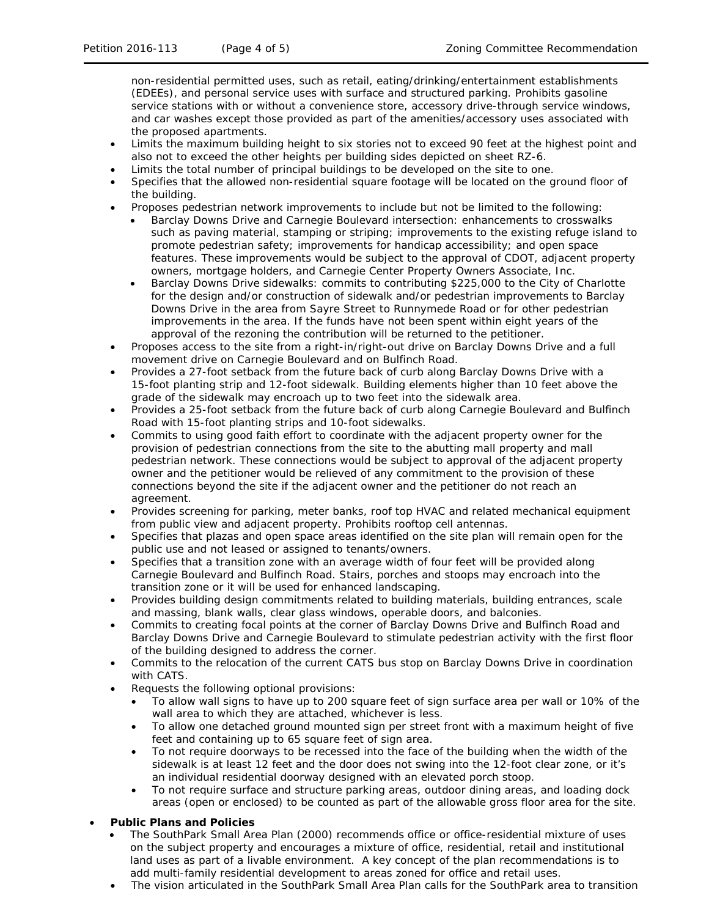non-residential permitted uses, such as retail, eating/drinking/entertainment establishments (EDEEs), and personal service uses with surface and structured parking. Prohibits gasoline service stations with or without a convenience store, accessory drive-through service windows, and car washes except those provided as part of the amenities/accessory uses associated with the proposed apartments.

- Limits the maximum building height to six stories not to exceed 90 feet at the highest point and also not to exceed the other heights per building sides depicted on sheet RZ-6.
- Limits the total number of principal buildings to be developed on the site to one.
- Specifies that the allowed non-residential square footage will be located on the ground floor of the building.
- Proposes pedestrian network improvements to include but not be limited to the following:
	- Barclay Downs Drive and Carnegie Boulevard intersection: enhancements to crosswalks such as paving material, stamping or striping; improvements to the existing refuge island to promote pedestrian safety; improvements for handicap accessibility; and open space features. These improvements would be subject to the approval of CDOT, adjacent property owners, mortgage holders, and Carnegie Center Property Owners Associate, Inc.
	- Barclay Downs Drive sidewalks: commits to contributing \$225,000 to the City of Charlotte for the design and/or construction of sidewalk and/or pedestrian improvements to Barclay Downs Drive in the area from Sayre Street to Runnymede Road or for other pedestrian improvements in the area. If the funds have not been spent within eight years of the approval of the rezoning the contribution will be returned to the petitioner.
- Proposes access to the site from a right-in/right-out drive on Barclay Downs Drive and a full movement drive on Carnegie Boulevard and on Bulfinch Road.
- Provides a 27-foot setback from the future back of curb along Barclay Downs Drive with a 15-foot planting strip and 12-foot sidewalk. Building elements higher than 10 feet above the grade of the sidewalk may encroach up to two feet into the sidewalk area.
- Provides a 25-foot setback from the future back of curb along Carnegie Boulevard and Bulfinch Road with 15-foot planting strips and 10-foot sidewalks.
- Commits to using good faith effort to coordinate with the adjacent property owner for the provision of pedestrian connections from the site to the abutting mall property and mall pedestrian network. These connections would be subject to approval of the adjacent property owner and the petitioner would be relieved of any commitment to the provision of these connections beyond the site if the adjacent owner and the petitioner do not reach an agreement.
- Provides screening for parking, meter banks, roof top HVAC and related mechanical equipment from public view and adjacent property. Prohibits rooftop cell antennas.
- Specifies that plazas and open space areas identified on the site plan will remain open for the public use and not leased or assigned to tenants/owners.
- Specifies that a transition zone with an average width of four feet will be provided along Carnegie Boulevard and Bulfinch Road. Stairs, porches and stoops may encroach into the transition zone or it will be used for enhanced landscaping.
- Provides building design commitments related to building materials, building entrances, scale and massing, blank walls, clear glass windows, operable doors, and balconies.
- Commits to creating focal points at the corner of Barclay Downs Drive and Bulfinch Road and Barclay Downs Drive and Carnegie Boulevard to stimulate pedestrian activity with the first floor of the building designed to address the corner.
- Commits to the relocation of the current CATS bus stop on Barclay Downs Drive in coordination with CATS.
- Requests the following optional provisions:
	- To allow wall signs to have up to 200 square feet of sign surface area per wall or 10% of the wall area to which they are attached, whichever is less.
	- To allow one detached ground mounted sign per street front with a maximum height of five feet and containing up to 65 square feet of sign area.
	- To not require doorways to be recessed into the face of the building when the width of the sidewalk is at least 12 feet and the door does not swing into the 12-foot clear zone, or it's an individual residential doorway designed with an elevated porch stoop.
	- To not require surface and structure parking areas, outdoor dining areas, and loading dock areas (open or enclosed) to be counted as part of the allowable gross floor area for the site.

#### • **Public Plans and Policies**

- The *SouthPark Small Area* Plan (2000) recommends office or office-residential mixture of uses on the subject property and encourages a mixture of office, residential, retail and institutional land uses as part of a livable environment. A key concept of the plan recommendations is to add multi-family residential development to areas zoned for office and retail uses.
- The vision articulated in the *SouthPark Small Area Plan* calls for the SouthPark area to transition